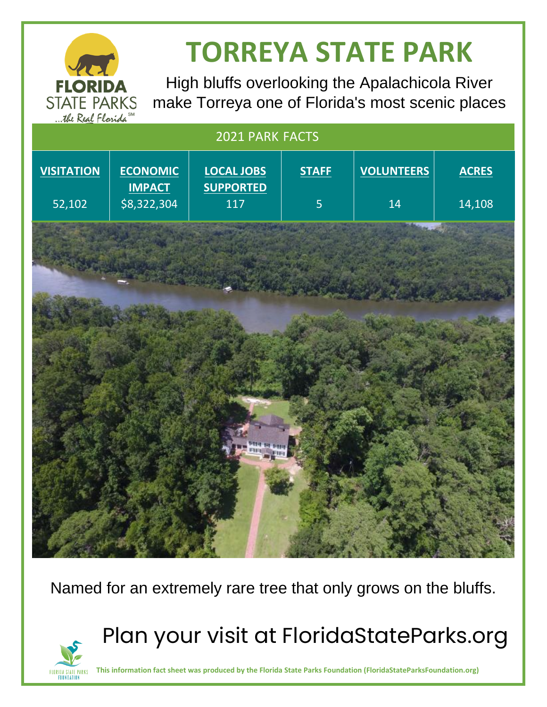

**FLORIDA STATE PARKS FOUNDATION** 

# **TORREYA STATE PARK**

High bluffs overlooking the Apalachicola River make Torreya one of Florida's most scenic places

## 2021 PARK FACTS **VISITATION** 52,102 **ECONOMIC IMPACT** \$8,322,304 **LOCAL JOBS SUPPORTED** 117 **STAFF** 5 **VOLUNTEERS** 14 **ACRES** 14,108

Named for an extremely rare tree that only grows on the bluffs.

Plan your visit at FloridaStateParks.org

**This information fact sheet was produced by the Florida State Parks Foundation (FloridaStateParksFoundation.org)**